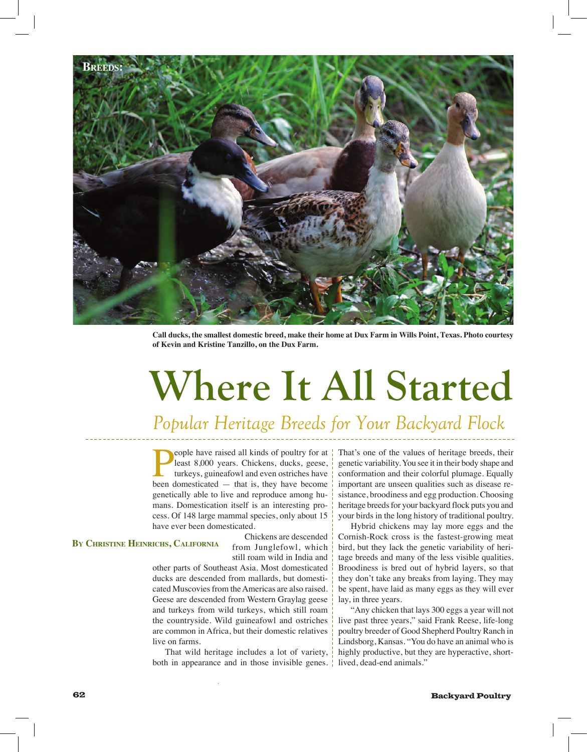

**Call ducks, the smallest domestic breed, make their home at Dux Farm in Wills Point, Texas. Photo courtesy of Kevin and Kristine Tanzillo, on the Dux Farm.**

# **Where It All Started**

### *Popular Heritage Breeds for Your Backyard Flock*

eople have raised all kinds of poultry for at  $\frac{1}{2}$ least 8,000 years. Chickens, ducks, geese, turkeys, guineafowl and even ostriches have been domesticated — that is, they have become genetically able to live and reproduce among humans. Domestication itself is an interesting process. Of 148 large mammal species, only about 15 have ever been domesticated.

#### **By Christine Heinrichs, California**

Chickens are descended from Junglefowl, which still roam wild in India and

other parts of Southeast Asia. Most domesticated ducks are descended from mallards, but domesticated Muscovies from the Americas are also raised. Geese are descended from Western Graylag geese and turkeys from wild turkeys, which still roam the countryside. Wild guineafowl and ostriches are common in Africa, but their domestic relatives live on farms.

That wild heritage includes a lot of variety, both in appearance and in those invisible genes. That's one of the values of heritage breeds, their genetic variability. You see it in their body shape and conformation and their colorful plumage. Equally important are unseen qualities such as disease resistance, broodiness and egg production. Choosing heritage breeds for your backyard flock puts you and your birds in the long history of traditional poultry.

Hybrid chickens may lay more eggs and the Cornish-Rock cross is the fastest-growing meat bird, but they lack the genetic variability of heritage breeds and many of the less visible qualities. Broodiness is bred out of hybrid layers, so that they don't take any breaks from laying. They may be spent, have laid as many eggs as they will ever lay, in three years.

"Any chicken that lays 300 eggs a year will not live past three years," said Frank Reese, life-long poultry breeder of Good Shepherd Poultry Ranch in Lindsborg, Kansas. "You do have an animal who is highly productive, but they are hyperactive, shortlived, dead-end animals."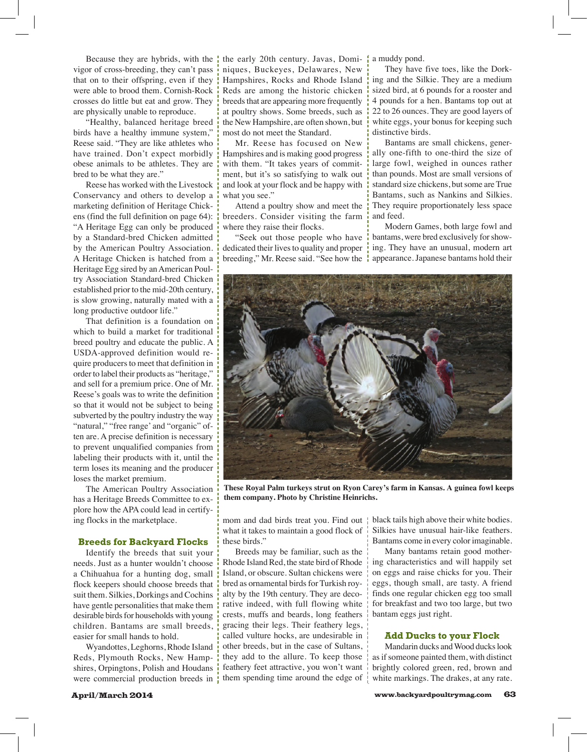Because they are hybrids, with the  $\frac{1}{2}$ vigor of cross-breeding, they can't pass that on to their offspring, even if they were able to brood them. Cornish-Rock crosses do little but eat and grow. They are physically unable to reproduce.

"Healthy, balanced heritage breed birds have a healthy immune system," Reese said. "They are like athletes who have trained. Don't expect morbidly obese animals to be athletes. They are bred to be what they are."

Reese has worked with the Livestock Conservancy and others to develop a marketing definition of Heritage Chickens (find the full definition on page 64): "A Heritage Egg can only be produced by a Standard-bred Chicken admitted by the American Poultry Association. A Heritage Chicken is hatched from a Heritage Egg sired by an American Poultry Association Standard-bred Chicken established prior to the mid-20th century, is slow growing, naturally mated with a long productive outdoor life."

That definition is a foundation on which to build a market for traditional breed poultry and educate the public. A USDA-approved definition would require producers to meet that definition in order to label their products as "heritage," and sell for a premium price. One of Mr. Reese's goals was to write the definition so that it would not be subject to being subverted by the poultry industry the way "natural," "free range' and "organic" often are. A precise definition is necessary to prevent unqualified companies from labeling their products with it, until the term loses its meaning and the producer loses the market premium.

The American Poultry Association has a Heritage Breeds Committee to explore how the APA could lead in certifying flocks in the marketplace.

#### **Breeds for Backyard Flocks**

Identify the breeds that suit your needs. Just as a hunter wouldn't choose a Chihuahua for a hunting dog, small flock keepers should choose breeds that suit them. Silkies, Dorkings and Cochins have gentle personalities that make them desirable birds for households with young children. Bantams are small breeds, easier for small hands to hold.

Wyandottes, Leghorns, Rhode Island Reds, Plymouth Rocks, New Hampshires, Orpingtons, Polish and Houdans were commercial production breeds in the early 20th century. Javas, Dominiques, Buckeyes, Delawares, New Hampshires, Rocks and Rhode Island Reds are among the historic chicken breeds that are appearing more frequently at poultry shows. Some breeds, such as the New Hampshire, are often shown, but most do not meet the Standard.

Mr. Reese has focused on New Hampshires and is making good progress with them. "It takes years of commitment, but it's so satisfying to walk out and look at your flock and be happy with what you see."

Attend a poultry show and meet the breeders. Consider visiting the farm where they raise their flocks.

"Seek out those people who have dedicated their lives to quality and proper breeding," Mr. Reese said. "See how the

a muddy pond.

They have five toes, like the Dorking and the Silkie. They are a medium sized bird, at 6 pounds for a rooster and 4 pounds for a hen. Bantams top out at 22 to 26 ounces. They are good layers of white eggs, your bonus for keeping such distinctive birds.

Bantams are small chickens, generally one-fifth to one-third the size of large fowl, weighed in ounces rather than pounds. Most are small versions of standard size chickens, but some are True Bantams, such as Nankins and Silkies. They require proportionately less space and feed.

Modern Games, both large fowl and bantams, were bred exclusively for showing. They have an unusual, modern art appearance. Japanese bantams hold their



**These Royal Palm turkeys strut on Ryon Carey's farm in Kansas. A guinea fowl keeps them company. Photo by Christine Heinrichs.**

mom and dad birds treat you. Find out what it takes to maintain a good flock of these birds."

Breeds may be familiar, such as the Rhode Island Red, the state bird of Rhode Island, or obscure. Sultan chickens were bred as ornamental birds for Turkish royalty by the 19th century. They are decorative indeed, with full flowing white crests, muffs and beards, long feathers gracing their legs. Their feathery legs, called vulture hocks, are undesirable in other breeds, but in the case of Sultans, they add to the allure. To keep those feathery feet attractive, you won't want them spending time around the edge of black tails high above their white bodies. Silkies have unusual hair-like feathers. Bantams come in every color imaginable.

Many bantams retain good mothering characteristics and will happily set on eggs and raise chicks for you. Their eggs, though small, are tasty. A friend finds one regular chicken egg too small for breakfast and two too large, but two bantam eggs just right.

#### **Add Ducks to your Flock**

Mandarin ducks and Wood ducks look as if someone painted them, with distinct brightly colored green, red, brown and white markings. The drakes, at any rate.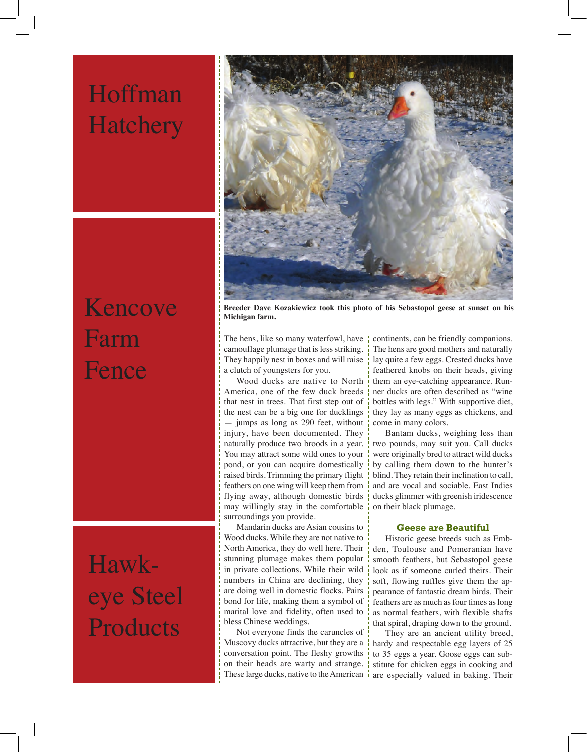### Hoffman **Hatchery**



## Kencove Farm Fence

### Hawkeye Steel Products

**Breeder Dave Kozakiewicz took this photo of his Sebastopol geese at sunset on his Michigan farm.**

The hens, like so many waterfowl, have camouflage plumage that is less striking. They happily nest in boxes and will raise a clutch of youngsters for you.

Wood ducks are native to North America, one of the few duck breeds that nest in trees. That first step out of the nest can be a big one for ducklings — jumps as long as 290 feet, without injury, have been documented. They naturally produce two broods in a year. You may attract some wild ones to your pond, or you can acquire domestically raised birds. Trimming the primary flight feathers on one wing will keep them from flying away, although domestic birds may willingly stay in the comfortable surroundings you provide.

Mandarin ducks are Asian cousins to Wood ducks. While they are not native to North America, they do well here. Their stunning plumage makes them popular in private collections. While their wild numbers in China are declining, they are doing well in domestic flocks. Pairs bond for life, making them a symbol of marital love and fidelity, often used to bless Chinese weddings.

Not everyone finds the caruncles of Muscovy ducks attractive, but they are a  $\frac{1}{1}$ conversation point. The fleshy growths on their heads are warty and strange. These large ducks, native to the American  $\frac{1}{1}$ 

continents, can be friendly companions. The hens are good mothers and naturally lay quite a few eggs. Crested ducks have feathered knobs on their heads, giving them an eye-catching appearance. Runner ducks are often described as "wine bottles with legs." With supportive diet, they lay as many eggs as chickens, and come in many colors.

Bantam ducks, weighing less than two pounds, may suit you. Call ducks were originally bred to attract wild ducks by calling them down to the hunter's blind. They retain their inclination to call, and are vocal and sociable. East Indies ducks glimmer with greenish iridescence on their black plumage.

#### **Geese are Beautiful**

Historic geese breeds such as Embden, Toulouse and Pomeranian have smooth feathers, but Sebastopol geese look as if someone curled theirs. Their soft, flowing ruffles give them the appearance of fantastic dream birds. Their feathers are as much as four times as long as normal feathers, with flexible shafts that spiral, draping down to the ground.

They are an ancient utility breed, hardy and respectable egg layers of 25 to 35 eggs a year. Goose eggs can substitute for chicken eggs in cooking and are especially valued in baking. Their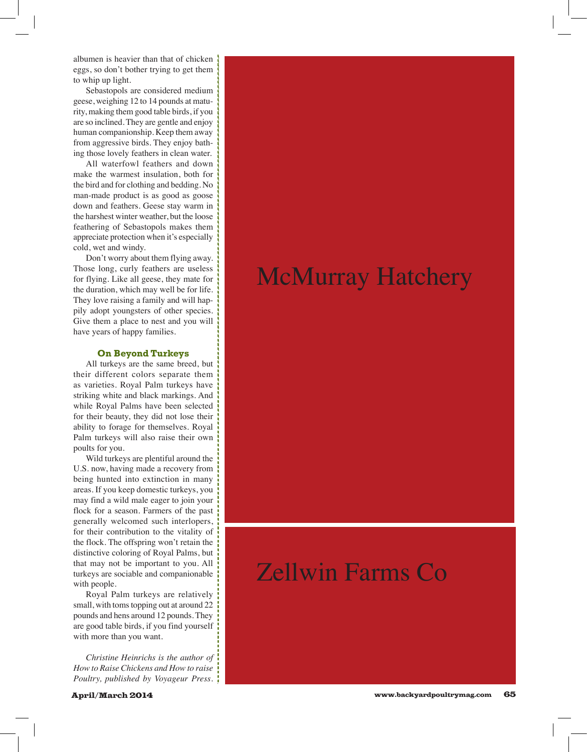albumen is heavier than that of chicken eggs, so don't bother trying to get them to whip up light.

Sebastopols are considered medium geese, weighing 12 to 14 pounds at maturity, making them good table birds, if you are so inclined. They are gentle and enjoy human companionship. Keep them away from aggressive birds. They enjoy bathing those lovely feathers in clean water.

All waterfowl feathers and down make the warmest insulation, both for the bird and for clothing and bedding. No man-made product is as good as goose down and feathers. Geese stay warm in the harshest winter weather, but the loose feathering of Sebastopols makes them appreciate protection when it's especially cold, wet and windy.

Don't worry about them flying away. Those long, curly feathers are useless for flying. Like all geese, they mate for the duration, which may well be for life. They love raising a family and will happily adopt youngsters of other species. Give them a place to nest and you will have years of happy families.

#### **On Beyond Turkeys**

All turkeys are the same breed, but their different colors separate them as varieties. Royal Palm turkeys have striking white and black markings. And while Royal Palms have been selected for their beauty, they did not lose their ability to forage for themselves. Royal Palm turkeys will also raise their own poults for you.

Wild turkeys are plentiful around the U.S. now, having made a recovery from being hunted into extinction in many areas. If you keep domestic turkeys, you may find a wild male eager to join your flock for a season. Farmers of the past generally welcomed such interlopers, for their contribution to the vitality of the flock. The offspring won't retain the distinctive coloring of Royal Palms, but that may not be important to you. All turkeys are sociable and companionable with people.

Royal Palm turkeys are relatively small, with toms topping out at around 22 pounds and hens around 12 pounds. They are good table birds, if you find yourself with more than you want.

*Christine Heinrichs is the author of How to Raise Chickens and How to raise Poultry, published by Voyageur Press.* 

### McMurray Hatchery

### Zellwin Farms Co

 $H = 800$